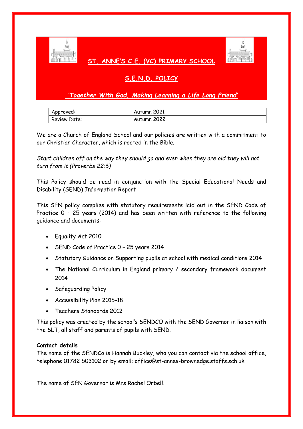

## **ST. ANNE'S C.E. (VC) PRIMARY SCHOOL**



# **S.E.N.D. POLICY**

## *'Together With God, Making Learning a Life Long Friend'*

| Approved:    | Autumn 2021 |
|--------------|-------------|
| Review Date: | Autumn 2022 |

We are a Church of England School and our policies are written with a commitment to our Christian Character, which is rooted in the Bible.

*Start children off on the way they should go and even when they are old they will not turn from it (Proverbs 22:6)*

This Policy should be read in conjunction with the Special Educational Needs and Disability (SEND) Information Report

This SEN policy complies with statutory requirements laid out in the SEND Code of Practice 0 – 25 years (2014) and has been written with reference to the following guidance and documents:

- Equality Act 2010
- SEND Code of Practice 0 25 years 2014
- Statutory Guidance on Supporting pupils at school with medical conditions 2014
- The National Curriculum in England primary / secondary framework document 2014
- Safeguarding Policy
- Accessibility Plan 2015-18
- Teachers Standards 2012

This policy was created by the school's SENDCO with the SEND Governor in liaison with the SLT, all staff and parents of pupils with SEND.

## **Contact details**

The name of the SENDCo is Hannah Buckley, who you can contact via the school office, telephone 01782 503102 or by email: office@st-annes-brownedge.staffs.sch.uk

The name of SEN Governor is Mrs Rachel Orbell.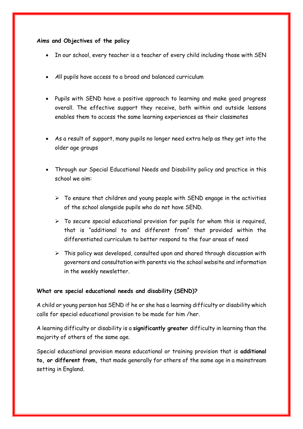## **Aims and Objectives of the policy**

- In our school, every teacher is a teacher of every child including those with SEN
- *A*ll pupils have access to a broad and balanced curriculum
- Pupils with SEND have a positive approach to learning and make good progress overall. The effective support they receive, both within and outside lessons enables them to access the same learning experiences as their classmates
- As a result of support, many pupils no longer need extra help as they get into the older age groups
- Through our Special Educational Needs and Disability policy and practice in this school we aim:
	- $\triangleright$  To ensure that children and young people with SEND engage in the activities of the school alongside pupils who do not have SEND.
	- $\triangleright$  To secure special educational provision for pupils for whom this is required, that is "additional to and different from" that provided within the differentiated curriculum to better respond to the four areas of need
	- $\triangleright$  This policy was developed, consulted upon and shared through discussion with governors and consultation with parents via the school website and information in the weekly newsletter.

## **What are special educational needs and disability (SEND)?**

A child or young person has SEND if he or she has a learning difficulty or disability which calls for special educational provision to be made for him /her.

A learning difficulty or disability is a **significantly greater** difficulty in learning than the majority of others of the same age.

Special educational provision means educational or training provision that is **additional to, or different from,** that made generally for others of the same age in a mainstream setting in England.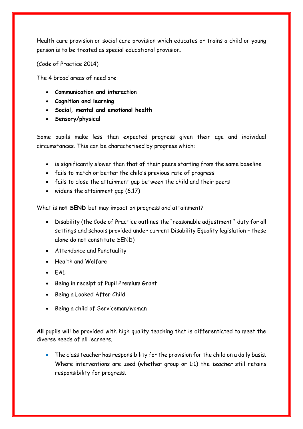Health care provision or social care provision which educates or trains a child or young person is to be treated as special educational provision.

(Code of Practice 2014)

The 4 broad areas of need are:

- **Communication and interaction**
- **Cognition and learning**
- **Social, mental and emotional health**
- **Sensory/physical**

Some pupils make less than expected progress given their age and individual circumstances. This can be characterised by progress which:

- is significantly slower than that of their peers starting from the same baseline
- fails to match or better the child's previous rate of progress
- fails to close the attainment gap between the child and their peers
- $\bullet$  widens the attainment gap  $(6.17)$

What is **not SEND** but may impact on progress and attainment?

- Disability (the Code of Practice outlines the "reasonable adjustment " duty for all settings and schools provided under current Disability Equality legislation – these alone do not constitute SEND)
- Attendance and Punctuality
- Health and Welfare
- $-FAL$
- Being in receipt of Pupil Premium Grant
- Being a Looked After Child
- Being a child of Serviceman/woman

**All** pupils will be provided with high quality teaching that is differentiated to meet the diverse needs of all learners.

• The class teacher has responsibility for the provision for the child on a daily basis. Where interventions are used (whether group or 1:1) the *teacher* still retains responsibility for progress.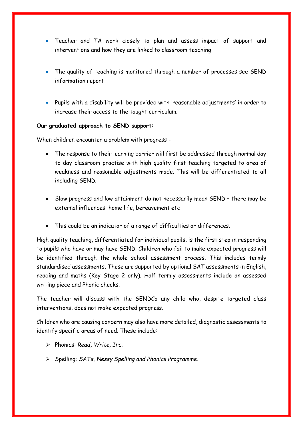- Teacher and TA work closely to plan and assess impact of support and interventions and how they are linked to classroom teaching
- The quality of teaching is monitored through a number of processes see SEND information report
- Pupils with a disability will be provided with 'reasonable adjustments' in order to increase their access to the taught curriculum.

### **Our graduated approach to SEND support:**

When children encounter a problem with progress -

- The response to their learning barrier will first be addressed through normal day to day classroom practise with high quality first teaching targeted to area of weakness and reasonable adjustments made. This will be differentiated to all including SEND.
- Slow progress and low attainment do not necessarily mean SEND there may be external influences: home life, bereavement etc
- This could be an indicator of a range of difficulties or differences.

High quality teaching, differentiated for individual pupils, is the first step in responding to pupils who have or may have SEND. Children who fail to make expected progress will be identified through the whole school assessment process. This includes termly standardised assessments. These are supported by optional SAT assessments in English, reading and maths (Key Stage 2 only). Half termly assessments include an assessed writing piece and Phonic checks.

The teacher will discuss with the SENDCo any child who, despite targeted class interventions, does not make expected progress.

Children who are causing concern may also have more detailed, diagnostic assessments to identify specific areas of need. These include:

- Phonics: *Read, Write, Inc.*
- Spelling: *SATs, Nessy Spelling and Phonics Programme.*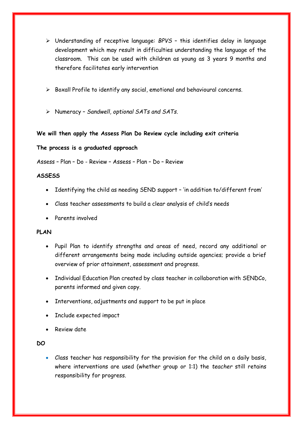- Understanding of receptive language: *BPVS* this identifies delay in language development which may result in difficulties understanding the language of the classroom. This can be used with children as young as 3 years 9 months and therefore facilitates early intervention
- $\triangleright$  Boxall Profile to identify any social, emotional and behavioural concerns.
- Numeracy *Sandwell, optional SATs and SATs.*

### **We will then apply the Assess Plan Do Review cycle including exit criteria**

#### **The process is a graduated approach**

Assess – Plan – Do - Review – Assess – Plan – Do – Review

#### **ASSESS**

- Identifying the child as needing SEND support 'in addition to/different from'
- Class teacher assessments to build a clear analysis of child's needs
- Parents involved

#### **PLAN**

- Pupil Plan to identify strengths and areas of need, record any additional or different arrangements being made including outside agencies; provide a brief overview of prior attainment, assessment and progress.
- Individual Education Plan created by class teacher in collaboration with SENDCo, parents informed and given copy.
- Interventions, adjustments and support to be put in place
- Include expected impact
- Review date

#### **DO**

 Class teacher has responsibility for the provision for the child on a daily basis, where interventions are used (whether group or 1:1) the *teacher* still retains responsibility for progress.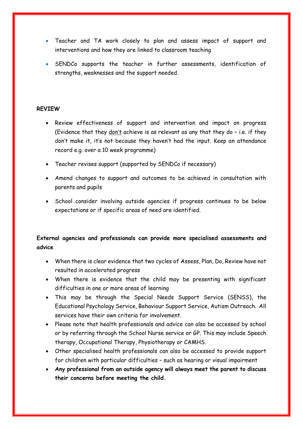- Teacher and TA work closely to plan and assess impact of support and interventions and how they are linked to classroom teaching
- SENDCo supports the teacher in further assessments, identification of strengths, weaknesses and the support needed.

## **REVIEW**

- Review effectiveness of support and intervention and impact on progress (Evidence that they don't achieve is as relevant as any that they do – i.e. if they don't make it, it's not because they haven't had the input. Keep an attendance record e.g. over a 10 week programme)
- Teacher revises support (supported by SENDCo if necessary)
- Amend changes to support and outcomes to be achieved in consultation with parents and pupils
- School consider involving outside agencies if progress continues to be below expectations or if specific areas of need are identified.

## **External agencies and professionals can provide more specialised assessments and advice**

- When there is clear evidence that two cycles of Assess, Plan, Do, Review have not resulted in accelerated progress
- When there is evidence that the child may be presenting with significant difficulties in one or more areas of learning
- This may be through the Special Needs Support Service (SENSS), the Educational Psychology Service, Behaviour Support Service, Autism Outreach. All services have their own criteria for involvement.
- Please note that health professionals and advice can also be accessed by school or by referring through the School Nurse service or GP. This may include Speech therapy, Occupational Therapy, Physiotherapy or CAMHS.
- Other specialised health professionals can also be accessed to provide support for children with particular difficulties – such as hearing or visual impairment
- **Any professional from an outside agency will always meet the parent to discuss their concerns before meeting the child.**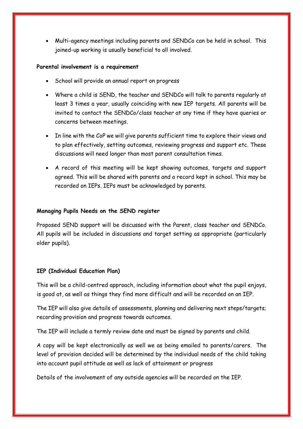Multi-agency meetings including parents and SENDCo can be held in school. This joined-up working is usually beneficial to all involved.

#### **Parental involvement is a requirement**

- School will provide an annual report on progress
- Where a child is SEND, the teacher and SENDCo will talk to parents regularly at least 3 times a year, usually coinciding with new IEP targets. All parents will be invited to contact the SENDCo/class teacher at any time if they have queries or concerns between meetings.
- In line with the CoP we will give parents sufficient time to explore their views and to plan effectively, setting outcomes, reviewing progress and support etc. These discussions will need longer than most parent consultation times.
- A record of this meeting will be kept showing outcomes, targets and support agreed. This will be shared with parents and a record kept in school. This may be recorded on IEPs. IEPs must be acknowledged by parents.

### **Managing Pupils Needs on the SEND register**

Proposed SEND support will be discussed with the Parent, class teacher and SENDCo. All pupils will be included in discussions and target setting as appropriate (particularly older pupils).

## **IEP (Individual Education Plan)**

This will be a child-centred approach, including information about what the pupil enjoys, is good at, as well as things they find more difficult and will be recorded on an IEP.

The IEP will also give details of assessments, planning and delivering next steps/targets; recording provision and progress towards outcomes.

The IEP will include a termly review date and must be signed by parents and child.

A copy will be kept electronically as well we as being emailed to parents/carers. The level of provision decided will be determined by the individual needs of the child taking into account pupil attitude as well as lack of attainment or progress

Details of the involvement of any outside agencies will be recorded on the IEP.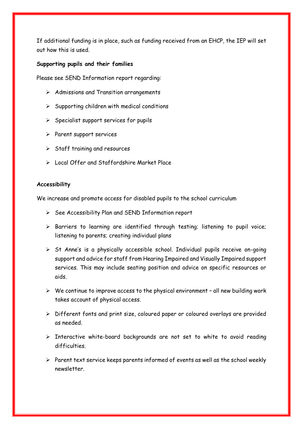If additional funding is in place, such as funding received from an EHCP, the IEP will set out how this is used.

#### **Supporting pupils and their families**

Please see SEND Information report regarding:

- $\triangleright$  Admissions and Transition arrangements
- $\triangleright$  Supporting children with medical conditions
- $\triangleright$  Specialist support services for pupils
- $\triangleright$  Parent support services
- $\triangleright$  Staff training and resources
- Local Offer and Staffordshire Market Place

#### **Accessibility**

We increase and promote access for disabled pupils to the school curriculum

- $\triangleright$  See Accessibility Plan and SEND Information report
- $\triangleright$  Barriers to learning are identified through testing; listening to pupil voice; listening to parents; creating individual plans
- $\triangleright$  St Anne's is a physically accessible school. Individual pupils receive on-going support and advice for staff from Hearing Impaired and Visually Impaired support services. This may include seating position and advice on specific resources or aids.
- $\triangleright$  We continue to improve access to the physical environment all new building work takes account of physical access.
- $\triangleright$  Different fonts and print size, coloured paper or coloured overlays are provided as needed.
- $\triangleright$  Interactive white-board backgrounds are not set to white to avoid reading difficulties.
- $\triangleright$  Parent text service keeps parents informed of events as well as the school weekly newsletter.